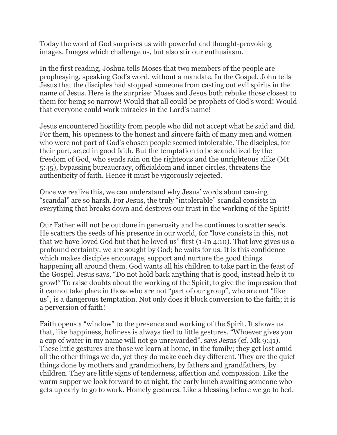Today the word of God surprises us with powerful and thought-provoking images. Images which challenge us, but also stir our enthusiasm.

In the first reading, Joshua tells Moses that two members of the people are prophesying, speaking God's word, without a mandate. In the Gospel, John tells Jesus that the disciples had stopped someone from casting out evil spirits in the name of Jesus. Here is the surprise: Moses and Jesus both rebuke those closest to them for being so narrow! Would that all could be prophets of God's word! Would that everyone could work miracles in the Lord's name!

Jesus encountered hostility from people who did not accept what he said and did. For them, his openness to the honest and sincere faith of many men and women who were not part of God's chosen people seemed intolerable. The disciples, for their part, acted in good faith. But the temptation to be scandalized by the freedom of God, who sends rain on the righteous and the unrighteous alike (Mt 5:45), bypassing bureaucracy, officialdom and inner circles, threatens the authenticity of faith. Hence it must be vigorously rejected.

Once we realize this, we can understand why Jesus' words about causing "scandal" are so harsh. For Jesus, the truly "intolerable" scandal consists in everything that breaks down and destroys our trust in the working of the Spirit!

Our Father will not be outdone in generosity and he continues to scatter seeds. He scatters the seeds of his presence in our world, for "love consists in this, not that we have loved God but that he loved us" first (1 Jn 4:10). That love gives us a profound certainty: we are sought by God; he waits for us. It is this confidence which makes disciples encourage, support and nurture the good things happening all around them. God wants all his children to take part in the feast of the Gospel. Jesus says, "Do not hold back anything that is good, instead help it to grow!" To raise doubts about the working of the Spirit, to give the impression that it cannot take place in those who are not "part of our group", who are not "like us", is a dangerous temptation. Not only does it block conversion to the faith; it is a perversion of faith!

Faith opens a "window" to the presence and working of the Spirit. It shows us that, like happiness, holiness is always tied to little gestures. "Whoever gives you a cup of water in my name will not go unrewarded", says Jesus (cf. Mk 9:41). These little gestures are those we learn at home, in the family; they get lost amid all the other things we do, yet they do make each day different. They are the quiet things done by mothers and grandmothers, by fathers and grandfathers, by children. They are little signs of tenderness, affection and compassion. Like the warm supper we look forward to at night, the early lunch awaiting someone who gets up early to go to work. Homely gestures. Like a blessing before we go to bed,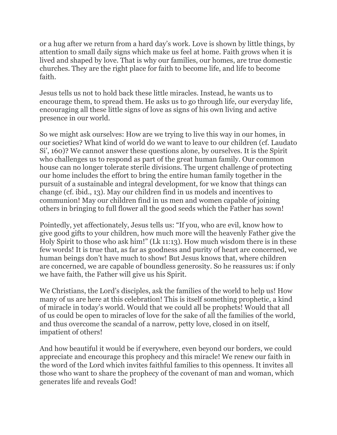or a hug after we return from a hard day's work. Love is shown by little things, by attention to small daily signs which make us feel at home. Faith grows when it is lived and shaped by love. That is why our families, our homes, are true domestic churches. They are the right place for faith to become life, and life to become faith.

Jesus tells us not to hold back these little miracles. Instead, he wants us to encourage them, to spread them. He asks us to go through life, our everyday life, encouraging all these little signs of love as signs of his own living and active presence in our world.

So we might ask ourselves: How are we trying to live this way in our homes, in our societies? What kind of world do we want to leave to our children (cf. Laudato Si', 160)? We cannot answer these questions alone, by ourselves. It is the Spirit who challenges us to respond as part of the great human family. Our common house can no longer tolerate sterile divisions. The urgent challenge of protecting our home includes the effort to bring the entire human family together in the pursuit of a sustainable and integral development, for we know that things can change (cf. ibid., 13). May our children find in us models and incentives to communion! May our children find in us men and women capable of joining others in bringing to full flower all the good seeds which the Father has sown!

Pointedly, yet affectionately, Jesus tells us: "If you, who are evil, know how to give good gifts to your children, how much more will the heavenly Father give the Holy Spirit to those who ask him!" (Lk 11:13). How much wisdom there is in these few words! It is true that, as far as goodness and purity of heart are concerned, we human beings don't have much to show! But Jesus knows that, where children are concerned, we are capable of boundless generosity. So he reassures us: if only we have faith, the Father will give us his Spirit.

We Christians, the Lord's disciples, ask the families of the world to help us! How many of us are here at this celebration! This is itself something prophetic, a kind of miracle in today's world. Would that we could all be prophets! Would that all of us could be open to miracles of love for the sake of all the families of the world, and thus overcome the scandal of a narrow, petty love, closed in on itself, impatient of others!

And how beautiful it would be if everywhere, even beyond our borders, we could appreciate and encourage this prophecy and this miracle! We renew our faith in the word of the Lord which invites faithful families to this openness. It invites all those who want to share the prophecy of the covenant of man and woman, which generates life and reveals God!